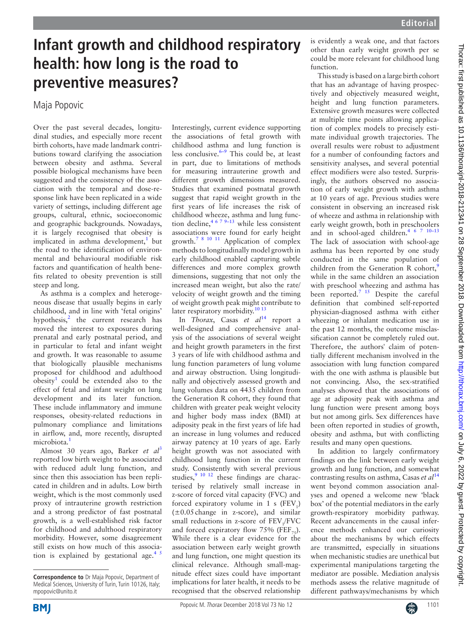## **Infant growth and childhood respiratory health: how long is the road to preventive measures?**

Maja Popovic

Over the past several decades, longitudinal studies, and especially more recent birth cohorts, have made landmark contributions toward clarifying the association between obesity and asthma. Several possible biological mechanisms have been suggested and the consistency of the association with the temporal and dose-response link have been replicated in a wide variety of settings, including different age groups, cultural, ethnic, socioeconomic and geographic backgrounds. Nowadays, it is largely recognised that obesity is implicated in asthma development,<sup>1</sup> but the road to the identification of environmental and behavioural modifiable risk factors and quantification of health benefits related to obesity prevention is still steep and long.

As asthma is a complex and heterogeneous disease that usually begins in early childhood, and in line with 'fetal origins' hypothesis,<sup>[2](#page-1-1)</sup> the current research has moved the interest to exposures during prenatal and early postnatal period, and in particular to fetal and infant weight and growth. It was reasonable to assume that biologically plausible mechanisms proposed for childhood and adulthood  $obsity<sup>1</sup>$  could be extended also to the effect of fetal and infant weight on lung development and its later function. These include inflammatory and immune responses, obesity-related reductions in pulmonary compliance and limitations in airflow, and, more recently, disrupted microbiota.<sup>1</sup>

Almost 30 years ago, Barker *et al*[3](#page-1-2) reported low birth weight to be associated with reduced adult lung function, and since then this association has been replicated in children and in adults. Low birth weight, which is the most commonly used proxy of intrauterine growth restriction and a strong predictor of fast postnatal growth, is a well-established risk factor for childhood and adulthood respiratory morbidity. However, some disagreement still exists on how much of this association is explained by gestational age.<sup>45</sup> Interestingly, current evidence supporting the associations of fetal growth with childhood asthma and lung function is less conclusive. $6-9$  This could be, at least in part, due to limitations of methods for measuring intrauterine growth and different growth dimensions measured. Studies that examined postnatal growth suggest that rapid weight growth in the first years of life increases the risk of childhood wheeze, asthma and lung function decline,  $4^{679-13}$  while less consistent associations were found for early height growth.<sup>[7 8 10 11](#page-1-5)</sup> Application of complex methods to longitudinally model growth in early childhood enabled capturing subtle differences and more complex growth dimensions, suggesting that not only the increased mean weight, but also the rate/ velocity of weight growth and the timing of weight growth peak might contribute to later respiratory morbidity. $10^{13}$ 

In *Thorax*, Casas *et al*<sup>[14](#page-1-7)</sup> report a well-designed and comprehensive analysis of the associations of several weight and height growth parameters in the first 3 years of life with childhood asthma and lung function parameters of lung volume and airway obstruction. Using longitudinally and objectively assessed growth and lung volumes data on 4435 children from the Generation R cohort, they found that children with greater peak weight velocity and higher body mass index (BMI) at adiposity peak in the first years of life had an increase in lung volumes and reduced airway patency at 10 years of age. Early height growth was not associated with childhood lung function in the current study. Consistently with several previous studies,<sup>9 10 12</sup> these findings are characterised by relatively small increase in z-score of forced vital capacity (FVC) and forced expiratory volume in 1 s  $(FEV_1)$  $(\pm 0.05 \text{ change in } z\text{-score})$ , and similar small reductions in z-score of  $FEV_1/FVC$ and forced expiratory flow 75% (FEF<sub>75</sub>). While there is a clear evidence for the association between early weight growth and lung function, one might question its clinical relevance. Although small-magnitude effect sizes could have important implications for later health, it needs to be recognised that the observed relationship

is evidently a weak one, and that factors other than early weight growth per se could be more relevant for childhood lung function.

This study is based on a large birth cohort that has an advantage of having prospectively and objectively measured weight, height and lung function parameters. Extensive growth measures were collected at multiple time points allowing application of complex models to precisely estimate individual growth trajectories. The overall results were robust to adjustment for a number of confounding factors and sensitivity analyses, and several potential effect modifiers were also tested. Surprisingly, the authors observed no association of early weight growth with asthma at 10 years of age. Previous studies were consistent in observing an increased risk of wheeze and asthma in relationship with early weight growth, both in preschoolers and in school-aged children[.4 6 7 10–13](#page-1-3) The lack of association with school-age asthma has been reported by one study conducted in the same population of children from the Generation R cohort,<sup>[9](#page-1-8)</sup> while in the same children an association with preschool wheezing and asthma has been reported.<sup>7 15</sup> Despite the careful definition that combined self-reported physician-diagnosed asthma with either wheezing or inhalant medication use in the past 12 months, the outcome misclassification cannot be completely ruled out. Therefore, the authors' claim of potentially different mechanism involved in the association with lung function compared with the one with asthma is plausible but not convincing. Also, the sex-stratified analyses showed that the associations of age at adiposity peak with asthma and lung function were present among boys but not among girls. Sex differences have been often reported in studies of growth, obesity and asthma, but with conflicting results and many open questions.

In addition to largely confirmatory findings on the link between early weight growth and lung function, and somewhat contrasting results on asthma, Casas *et al*[14](#page-1-7) went beyond common association analyses and opened a welcome new 'black box' of the potential mediators in the early growth-respiratory morbidity pathway. Recent advancements in the causal inference methods enhanced our curiosity about the mechanisms by which effects are transmitted, especially in situations when mechanistic studies are unethical but experimental manipulations targeting the mediator are possible. Mediation analysis methods assess the relative magnitude of different pathways/mechanisms by which



**Correspondence to** Dr Maja Popovic, Department of Medical Sciences, University of Turin, Turin 10126, Italy; mpopovic@unito.it